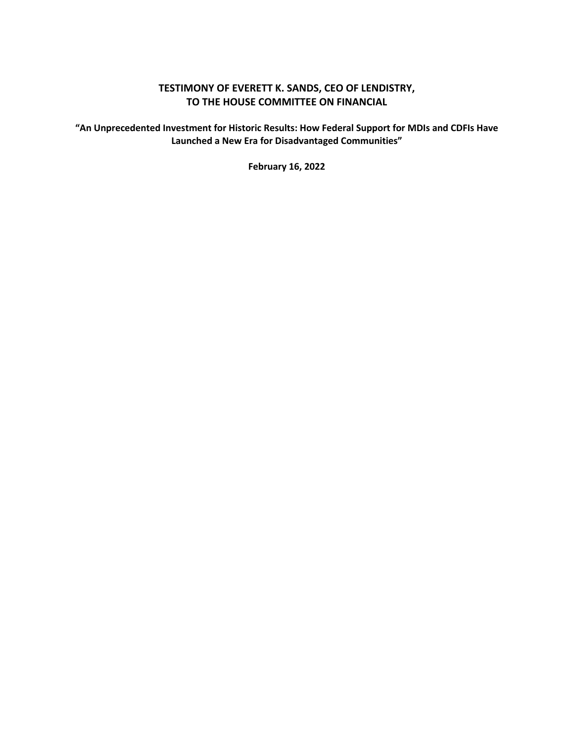#### **TESTIMONY OF EVERETT K. SANDS, CEO OF LENDISTRY, TO THE HOUSE COMMITTEE ON FINANCIAL**

**"An Unprecedented Investment for Historic Results: How Federal Support for MDIs and CDFIs Have Launched a New Era for Disadvantaged Communities"** 

**February 16, 2022**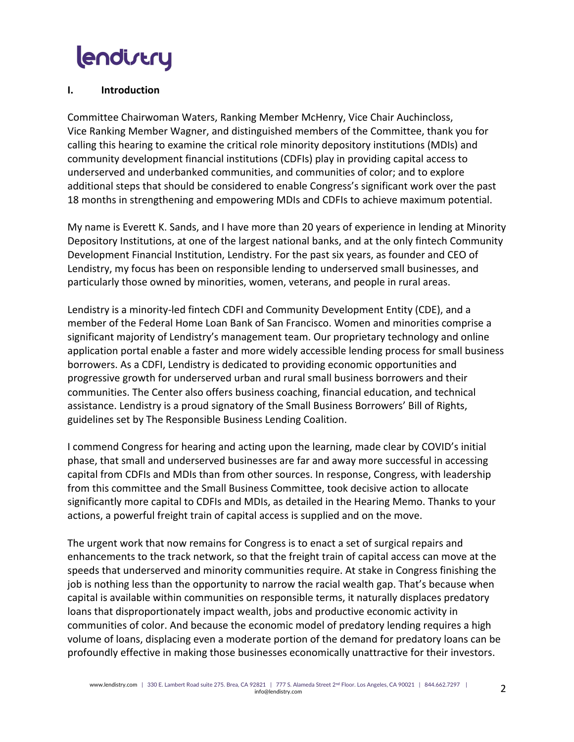#### **I. Introduction**

Committee Chairwoman Waters, Ranking Member McHenry, Vice Chair Auchincloss, Vice Ranking Member Wagner, and distinguished members of the Committee, thank you for calling this hearing to examine the critical role minority depository institutions (MDIs) and community development financial institutions (CDFIs) play in providing capital access to underserved and underbanked communities, and communities of color; and to explore additional steps that should be considered to enable Congress's significant work over the past 18 months in strengthening and empowering MDIs and CDFIs to achieve maximum potential.

My name is Everett K. Sands, and I have more than 20 years of experience in lending at Minority Depository Institutions, at one of the largest national banks, and at the only fintech Community Development Financial Institution, Lendistry. For the past six years, as founder and CEO of Lendistry, my focus has been on responsible lending to underserved small businesses, and particularly those owned by minorities, women, veterans, and people in rural areas.

Lendistry is a minority-led fintech CDFI and Community Development Entity (CDE), and a member of the Federal Home Loan Bank of San Francisco. Women and minorities comprise a significant majority of Lendistry's management team. Our proprietary technology and online application portal enable a faster and more widely accessible lending process for small business borrowers. As a CDFI, Lendistry is dedicated to providing economic opportunities and progressive growth for underserved urban and rural small business borrowers and their communities. The Center also offers business coaching, financial education, and technical assistance. Lendistry is a proud signatory of the Small Business Borrowers' Bill of Rights, guidelines set by The Responsible Business Lending Coalition.

I commend Congress for hearing and acting upon the learning, made clear by COVID's initial phase, that small and underserved businesses are far and away more successful in accessing capital from CDFIs and MDIs than from other sources. In response, Congress, with leadership from this committee and the Small Business Committee, took decisive action to allocate significantly more capital to CDFIs and MDIs, as detailed in the Hearing Memo. Thanks to your actions, a powerful freight train of capital access is supplied and on the move.

The urgent work that now remains for Congress is to enact a set of surgical repairs and enhancements to the track network, so that the freight train of capital access can move at the speeds that underserved and minority communities require. At stake in Congress finishing the job is nothing less than the opportunity to narrow the racial wealth gap. That's because when capital is available within communities on responsible terms, it naturally displaces predatory loans that disproportionately impact wealth, jobs and productive economic activity in communities of color. And because the economic model of predatory lending requires a high volume of loans, displacing even a moderate portion of the demand for predatory loans can be profoundly effective in making those businesses economically unattractive for their investors.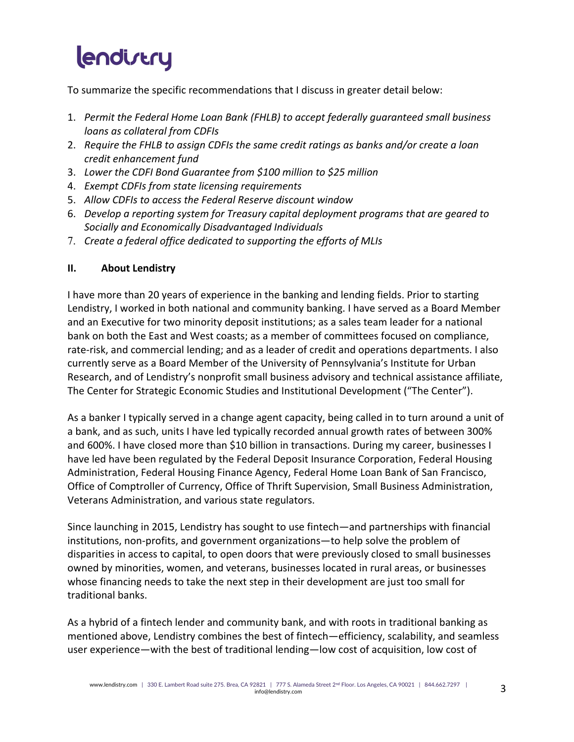To summarize the specific recommendations that I discuss in greater detail below:

- 1. *Permit the Federal Home Loan Bank (FHLB) to accept federally guaranteed small business loans as collateral from CDFIs*
- 2. *Require the FHLB to assign CDFIs the same credit ratings as banks and/or create a loan credit enhancement fund*
- 3. *Lower the CDFI Bond Guarantee from \$100 million to \$25 million*
- 4. *Exempt CDFIs from state licensing requirements*
- 5. *Allow CDFIs to access the Federal Reserve discount window*
- 6. *Develop a reporting system for Treasury capital deployment programs that are geared to Socially and Economically Disadvantaged Individuals*
- 7. *Create a federal office dedicated to supporting the efforts of MLIs*

#### **II. About Lendistry**

I have more than 20 years of experience in the banking and lending fields. Prior to starting Lendistry, I worked in both national and community banking. I have served as a Board Member and an Executive for two minority deposit institutions; as a sales team leader for a national bank on both the East and West coasts; as a member of committees focused on compliance, rate-risk, and commercial lending; and as a leader of credit and operations departments. I also currently serve as a Board Member of the University of Pennsylvania's Institute for Urban Research, and of Lendistry's nonprofit small business advisory and technical assistance affiliate, The Center for Strategic Economic Studies and Institutional Development ("The Center").

As a banker I typically served in a change agent capacity, being called in to turn around a unit of a bank, and as such, units I have led typically recorded annual growth rates of between 300% and 600%. I have closed more than \$10 billion in transactions. During my career, businesses I have led have been regulated by the Federal Deposit Insurance Corporation, Federal Housing Administration, Federal Housing Finance Agency, Federal Home Loan Bank of San Francisco, Office of Comptroller of Currency, Office of Thrift Supervision, Small Business Administration, Veterans Administration, and various state regulators.

Since launching in 2015, Lendistry has sought to use fintech—and partnerships with financial institutions, non-profits, and government organizations—to help solve the problem of disparities in access to capital, to open doors that were previously closed to small businesses owned by minorities, women, and veterans, businesses located in rural areas, or businesses whose financing needs to take the next step in their development are just too small for traditional banks.

As a hybrid of a fintech lender and community bank, and with roots in traditional banking as mentioned above, Lendistry combines the best of fintech—efficiency, scalability, and seamless user experience—with the best of traditional lending—low cost of acquisition, low cost of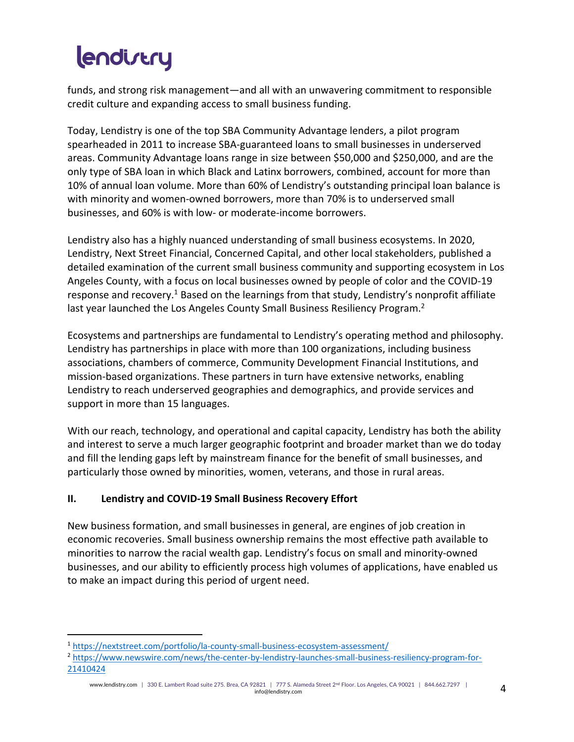funds, and strong risk management—and all with an unwavering commitment to responsible credit culture and expanding access to small business funding.

Today, Lendistry is one of the top SBA Community Advantage lenders, a pilot program spearheaded in 2011 to increase SBA-guaranteed loans to small businesses in underserved areas. Community Advantage loans range in size between \$50,000 and \$250,000, and are the only type of SBA loan in which Black and Latinx borrowers, combined, account for more than 10% of annual loan volume. More than 60% of Lendistry's outstanding principal loan balance is with minority and women-owned borrowers, more than 70% is to underserved small businesses, and 60% is with low- or moderate-income borrowers.

Lendistry also has a highly nuanced understanding of small business ecosystems. In 2020, Lendistry, Next Street Financial, Concerned Capital, and other local stakeholders, published a detailed examination of the current small business community and supporting ecosystem in Los Angeles County, with a focus on local businesses owned by people of color and the COVID-19 response and recovery.<sup>1</sup> Based on the learnings from that study, Lendistry's nonprofit affiliate last year launched the Los Angeles County Small Business Resiliency Program.<sup>2</sup>

Ecosystems and partnerships are fundamental to Lendistry's operating method and philosophy. Lendistry has partnerships in place with more than 100 organizations, including business associations, chambers of commerce, Community Development Financial Institutions, and mission-based organizations. These partners in turn have extensive networks, enabling Lendistry to reach underserved geographies and demographics, and provide services and support in more than 15 languages.

With our reach, technology, and operational and capital capacity, Lendistry has both the ability and interest to serve a much larger geographic footprint and broader market than we do today and fill the lending gaps left by mainstream finance for the benefit of small businesses, and particularly those owned by minorities, women, veterans, and those in rural areas.

### **II. Lendistry and COVID-19 Small Business Recovery Effort**

New business formation, and small businesses in general, are engines of job creation in economic recoveries. Small business ownership remains the most effective path available to minorities to narrow the racial wealth gap. Lendistry's focus on small and minority-owned businesses, and our ability to efficiently process high volumes of applications, have enabled us to make an impact during this period of urgent need.

<sup>1</sup> https://nextstreet.com/portfolio/la-county-small-business-ecosystem-assessment/

<sup>2</sup> https://www.newswire.com/news/the-center-by-lendistry-launches-small-business-resiliency-program-for-21410424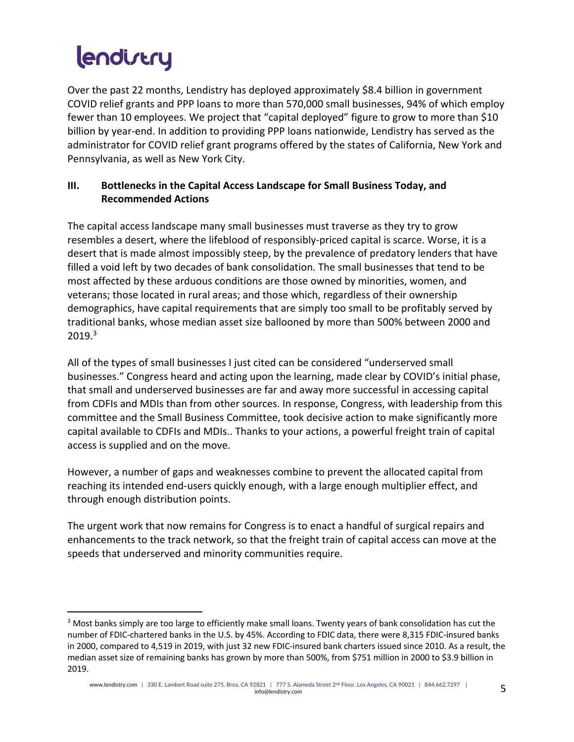Over the past 22 months, Lendistry has deployed approximately \$8.4 billion in government COVID relief grants and PPP loans to more than 570,000 small businesses, 94% of which employ fewer than 10 employees. We project that "capital deployed" figure to grow to more than \$10 billion by year-end. In addition to providing PPP loans nationwide, Lendistry has served as the administrator for COVID relief grant programs offered by the states of California, New York and Pennsylvania, as well as New York City.

#### **III. Bottlenecks in the Capital Access Landscape for Small Business Today, and Recommended Actions**

The capital access landscape many small businesses must traverse as they try to grow resembles a desert, where the lifeblood of responsibly-priced capital is scarce. Worse, it is a desert that is made almost impossibly steep, by the prevalence of predatory lenders that have filled a void left by two decades of bank consolidation. The small businesses that tend to be most affected by these arduous conditions are those owned by minorities, women, and veterans; those located in rural areas; and those which, regardless of their ownership demographics, have capital requirements that are simply too small to be profitably served by traditional banks, whose median asset size ballooned by more than 500% between 2000 and 2019. 3

All of the types of small businesses I just cited can be considered "underserved small businesses." Congress heard and acting upon the learning, made clear by COVID's initial phase, that small and underserved businesses are far and away more successful in accessing capital from CDFIs and MDIs than from other sources. In response, Congress, with leadership from this committee and the Small Business Committee, took decisive action to make significantly more capital available to CDFIs and MDIs.. Thanks to your actions, a powerful freight train of capital access is supplied and on the move.

However, a number of gaps and weaknesses combine to prevent the allocated capital from reaching its intended end-users quickly enough, with a large enough multiplier effect, and through enough distribution points.

The urgent work that now remains for Congress is to enact a handful of surgical repairs and enhancements to the track network, so that the freight train of capital access can move at the speeds that underserved and minority communities require.

<sup>&</sup>lt;sup>3</sup> Most banks simply are too large to efficiently make small loans. Twenty years of bank consolidation has cut the number of FDIC-chartered banks in the U.S. by 45%. According to FDIC data, there were 8,315 FDIC-insured banks in 2000, compared to 4,519 in 2019, with just 32 new FDIC-insured bank charters issued since 2010. As a result, the median asset size of remaining banks has grown by more than 500%, from \$751 million in 2000 to \$3.9 billion in 2019.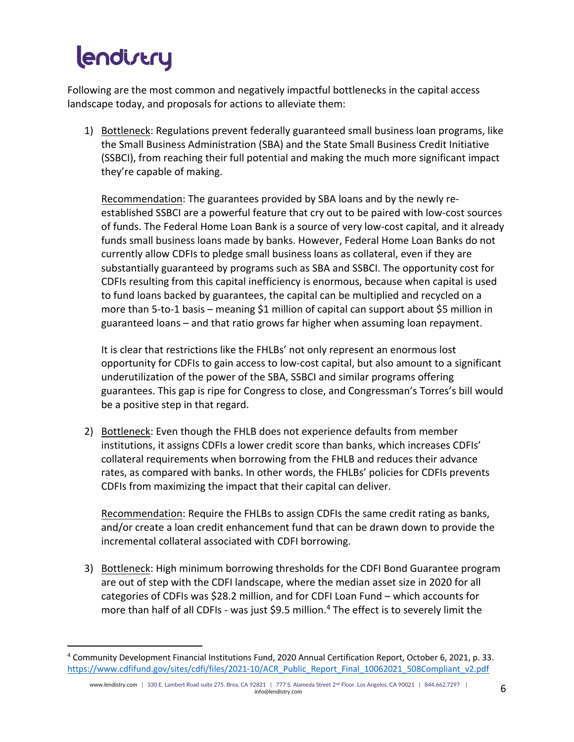Following are the most common and negatively impactful bottlenecks in the capital access landscape today, and proposals for actions to alleviate them:

1) Bottleneck: Regulations prevent federally guaranteed small business loan programs, like the Small Business Administration (SBA) and the State Small Business Credit Initiative (SSBCI), from reaching their full potential and making the much more significant impact they're capable of making.

Recommendation: The guarantees provided by SBA loans and by the newly reestablished SSBCI are a powerful feature that cry out to be paired with low-cost sources of funds. The Federal Home Loan Bank is a source of very low-cost capital, and it already funds small business loans made by banks. However, Federal Home Loan Banks do not currently allow CDFIs to pledge small business loans as collateral, even if they are substantially guaranteed by programs such as SBA and SSBCI. The opportunity cost for CDFIs resulting from this capital inefficiency is enormous, because when capital is used to fund loans backed by guarantees, the capital can be multiplied and recycled on a more than 5-to-1 basis – meaning \$1 million of capital can support about \$5 million in guaranteed loans – and that ratio grows far higher when assuming loan repayment.

It is clear that restrictions like the FHLBs' not only represent an enormous lost opportunity for CDFIs to gain access to low-cost capital, but also amount to a significant underutilization of the power of the SBA, SSBCI and similar programs offering guarantees. This gap is ripe for Congress to close, and Congressman's Torres's bill would be a positive step in that regard.

2) Bottleneck: Even though the FHLB does not experience defaults from member institutions, it assigns CDFIs a lower credit score than banks, which increases CDFIs' collateral requirements when borrowing from the FHLB and reduces their advance rates, as compared with banks. In other words, the FHLBs' policies for CDFIs prevents CDFIs from maximizing the impact that their capital can deliver.

Recommendation: Require the FHLBs to assign CDFIs the same credit rating as banks, and/or create a loan credit enhancement fund that can be drawn down to provide the incremental collateral associated with CDFI borrowing.

3) Bottleneck: High minimum borrowing thresholds for the CDFI Bond Guarantee program are out of step with the CDFI landscape, where the median asset size in 2020 for all categories of CDFIs was \$28.2 million, and for CDFI Loan Fund – which accounts for more than half of all CDFIs - was just \$9.5 million.<sup>4</sup> The effect is to severely limit the

<sup>4</sup> Community Development Financial Institutions Fund, 2020 Annual Certification Report, October 6, 2021, p. 33. https://www.cdfifund.gov/sites/cdfi/files/2021-10/ACR\_Public\_Report\_Final\_10062021\_508Compliant\_v2.pdf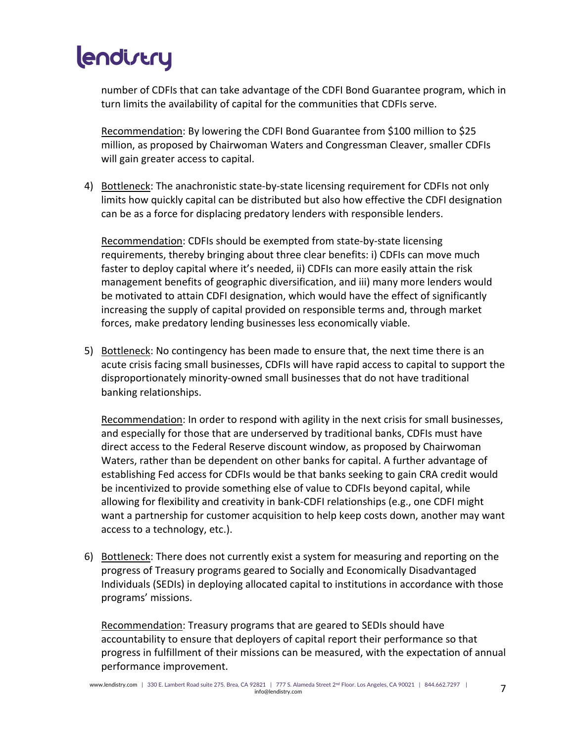number of CDFIs that can take advantage of the CDFI Bond Guarantee program, which in turn limits the availability of capital for the communities that CDFIs serve.

Recommendation: By lowering the CDFI Bond Guarantee from \$100 million to \$25 million, as proposed by Chairwoman Waters and Congressman Cleaver, smaller CDFIs will gain greater access to capital.

4) Bottleneck: The anachronistic state-by-state licensing requirement for CDFIs not only limits how quickly capital can be distributed but also how effective the CDFI designation can be as a force for displacing predatory lenders with responsible lenders.

Recommendation: CDFIs should be exempted from state-by-state licensing requirements, thereby bringing about three clear benefits: i) CDFIs can move much faster to deploy capital where it's needed, ii) CDFIs can more easily attain the risk management benefits of geographic diversification, and iii) many more lenders would be motivated to attain CDFI designation, which would have the effect of significantly increasing the supply of capital provided on responsible terms and, through market forces, make predatory lending businesses less economically viable.

5) Bottleneck: No contingency has been made to ensure that, the next time there is an acute crisis facing small businesses, CDFIs will have rapid access to capital to support the disproportionately minority-owned small businesses that do not have traditional banking relationships.

Recommendation: In order to respond with agility in the next crisis for small businesses, and especially for those that are underserved by traditional banks, CDFIs must have direct access to the Federal Reserve discount window, as proposed by Chairwoman Waters, rather than be dependent on other banks for capital. A further advantage of establishing Fed access for CDFIs would be that banks seeking to gain CRA credit would be incentivized to provide something else of value to CDFIs beyond capital, while allowing for flexibility and creativity in bank-CDFI relationships (e.g., one CDFI might want a partnership for customer acquisition to help keep costs down, another may want access to a technology, etc.).

6) Bottleneck: There does not currently exist a system for measuring and reporting on the progress of Treasury programs geared to Socially and Economically Disadvantaged Individuals (SEDIs) in deploying allocated capital to institutions in accordance with those programs' missions.

Recommendation: Treasury programs that are geared to SEDIs should have accountability to ensure that deployers of capital report their performance so that progress in fulfillment of their missions can be measured, with the expectation of annual performance improvement.